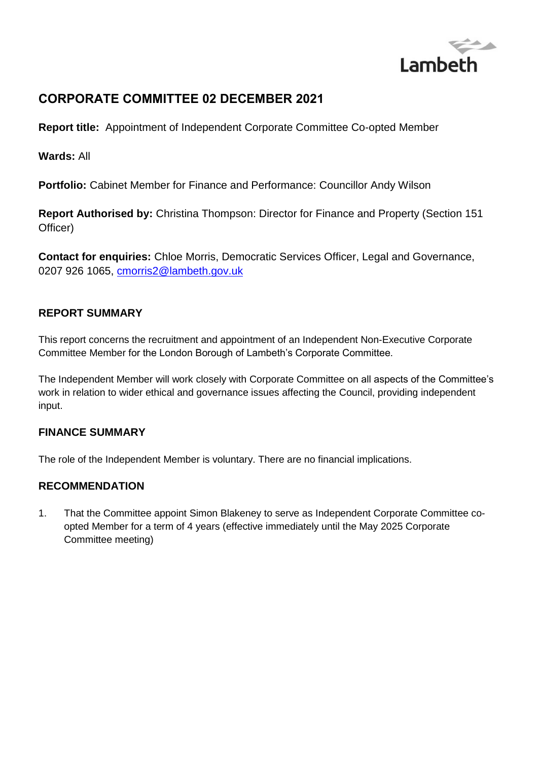

# **CORPORATE COMMITTEE 02 DECEMBER 2021**

**Report title:** Appointment of Independent Corporate Committee Co-opted Member

**Wards:** All

**Portfolio:** Cabinet Member for Finance and Performance: Councillor Andy Wilson

**Report Authorised by:** Christina Thompson: Director for Finance and Property (Section 151 Officer)

**Contact for enquiries:** Chloe Morris, Democratic Services Officer, Legal and Governance, 0207 926 1065, [cmorris2@lambeth.gov.uk](mailto:cmorris2@lambeth.gov.uk)

### **REPORT SUMMARY**

This report concerns the recruitment and appointment of an Independent Non-Executive Corporate Committee Member for the London Borough of Lambeth's Corporate Committee.

The Independent Member will work closely with Corporate Committee on all aspects of the Committee's work in relation to wider ethical and governance issues affecting the Council, providing independent input.

#### **FINANCE SUMMARY**

The role of the Independent Member is voluntary. There are no financial implications.

#### **RECOMMENDATION**

1. That the Committee appoint Simon Blakeney to serve as Independent Corporate Committee coopted Member for a term of 4 years (effective immediately until the May 2025 Corporate Committee meeting)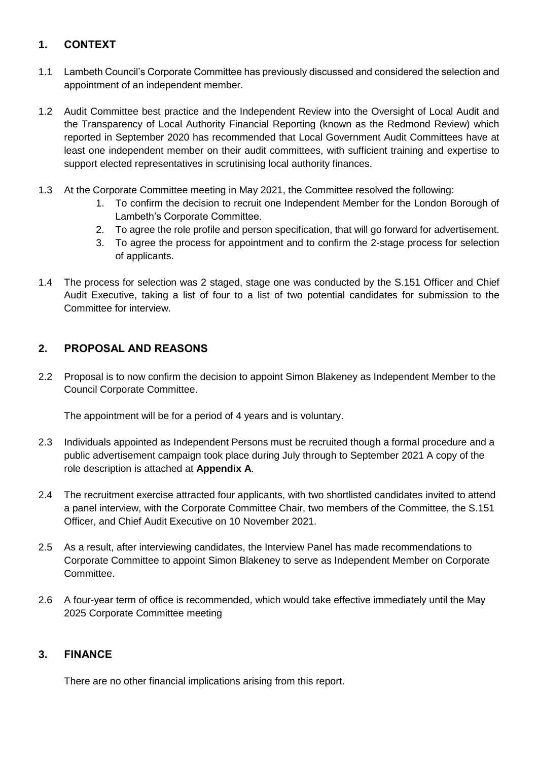### **1. CONTEXT**

- 1.1 Lambeth Council's Corporate Committee has previously discussed and considered the selection and appointment of an independent member.
- 1.2 Audit Committee best practice and the Independent Review into the Oversight of Local Audit and the Transparency of Local Authority Financial Reporting (known as the Redmond Review) which reported in September 2020 has recommended that Local Government Audit Committees have at least one independent member on their audit committees, with sufficient training and expertise to support elected representatives in scrutinising local authority finances.
- 1.3 At the Corporate Committee meeting in May 2021, the Committee resolved the following:
	- 1. To confirm the decision to recruit one Independent Member for the London Borough of Lambeth's Corporate Committee.
	- 2. To agree the role profile and person specification, that will go forward for advertisement.
	- 3. To agree the process for appointment and to confirm the 2-stage process for selection of applicants.
- 1.4 The process for selection was 2 staged, stage one was conducted by the S.151 Officer and Chief Audit Executive, taking a list of four to a list of two potential candidates for submission to the Committee for interview.

### **2. PROPOSAL AND REASONS**

2.2 Proposal is to now confirm the decision to appoint Simon Blakeney as Independent Member to the Council Corporate Committee.

The appointment will be for a period of 4 years and is voluntary.

- 2.3 Individuals appointed as Independent Persons must be recruited though a formal procedure and a public advertisement campaign took place during July through to September 2021 A copy of the role description is attached at **Appendix A**.
- 2.4 The recruitment exercise attracted four applicants, with two shortlisted candidates invited to attend a panel interview, with the Corporate Committee Chair, two members of the Committee, the S.151 Officer, and Chief Audit Executive on 10 November 2021.
- 2.5 As a result, after interviewing candidates, the Interview Panel has made recommendations to Corporate Committee to appoint Simon Blakeney to serve as Independent Member on Corporate Committee.
- 2.6 A four-year term of office is recommended, which would take effective immediately until the May 2025 Corporate Committee meeting

### **3. FINANCE**

There are no other financial implications arising from this report.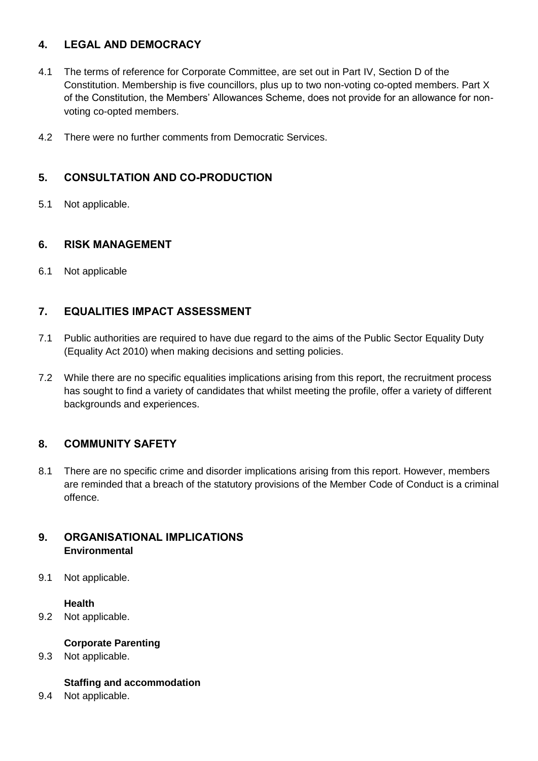### **4. LEGAL AND DEMOCRACY**

- 4.1 The terms of reference for Corporate Committee, are set out in Part IV, Section D of the Constitution. Membership is five councillors, plus up to two non-voting co-opted members. Part X of the Constitution, the Members' Allowances Scheme, does not provide for an allowance for nonvoting co-opted members.
- 4.2 There were no further comments from Democratic Services.

## **5. CONSULTATION AND CO-PRODUCTION**

5.1 Not applicable.

#### **6. RISK MANAGEMENT**

6.1 Not applicable

### **7. EQUALITIES IMPACT ASSESSMENT**

- 7.1 Public authorities are required to have due regard to the aims of the Public Sector Equality Duty (Equality Act 2010) when making decisions and setting policies.
- 7.2 While there are no specific equalities implications arising from this report, the recruitment process has sought to find a variety of candidates that whilst meeting the profile, offer a variety of different backgrounds and experiences.

### **8. COMMUNITY SAFETY**

8.1 There are no specific crime and disorder implications arising from this report. However, members are reminded that a breach of the statutory provisions of the Member Code of Conduct is a criminal offence.

#### **9. ORGANISATIONAL IMPLICATIONS Environmental**

9.1 Not applicable.

#### **Health**

9.2 Not applicable.

#### **Corporate Parenting**

9.3 Not applicable.

#### **Staffing and accommodation**

9.4 Not applicable.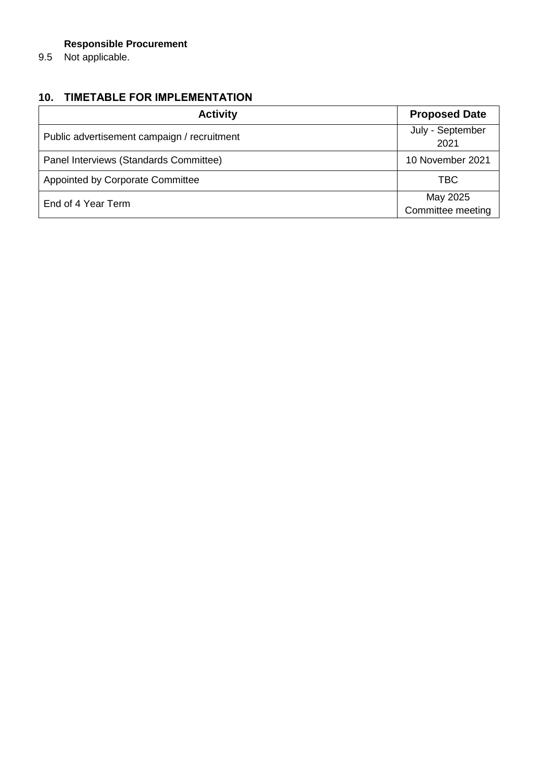## **Responsible Procurement**

9.5 Not applicable.

# **10. TIMETABLE FOR IMPLEMENTATION**

| <b>Activity</b>                             | <b>Proposed Date</b>          |
|---------------------------------------------|-------------------------------|
| Public advertisement campaign / recruitment | July - September<br>2021      |
| Panel Interviews (Standards Committee)      | 10 November 2021              |
| <b>Appointed by Corporate Committee</b>     | <b>TBC</b>                    |
| End of 4 Year Term                          | May 2025<br>Committee meeting |